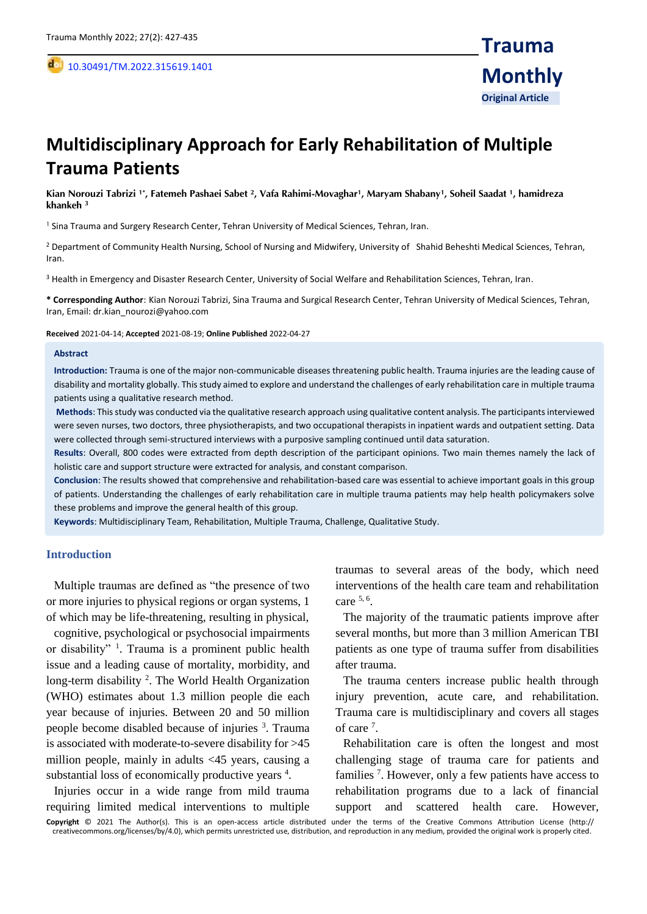,

# **Multidisciplinary Approach for Early Rehabilitation of Multiple Trauma Patients**

**Kian Norouzi Tabrizi 1\*, Fatemeh Pashaei Sabet <sup>2</sup> , Vafa Rahimi-Movaghar<sup>1</sup> , Maryam Shabany<sup>1</sup> , Soheil Saadat <sup>1</sup> , hamidreza khankeh <sup>3</sup>**

<sup>1</sup> Sina Trauma and Surgery Research Center, Tehran University of Medical Sciences, Tehran, Iran.

<sup>2</sup> Department of Community Health Nursing, School of Nursing and Midwifery, University of Shahid Beheshti Medical Sciences, Tehran, Iran.

<sup>3</sup> Health in Emergency and Disaster Research Center, University of Social Welfare and Rehabilitation Sciences, Tehran, Iran.

**\* Corresponding Author**: Kian Norouzi Tabrizi, Sina Trauma and Surgical Research Center, Tehran University of Medical Sciences, Tehran, Iran, Email: dr.kian\_nourozi@yahoo.com

**Received** 2021-04-14; **Accepted** 2021-08-19; **Online Published** 2022-04-27

#### **Abstract**

**Introduction:** Trauma is one of the major non-communicable diseases threatening public health. Trauma injuries are the leading cause of disability and mortality globally. This study aimed to explore and understand the challenges of early rehabilitation care in multiple trauma patients using a qualitative research method.

**Methods**: This study was conducted via the qualitative research approach using qualitative content analysis. The participants interviewed were seven nurses, two doctors, three physiotherapists, and two occupational therapists in inpatient wards and outpatient setting. Data were collected through semi-structured interviews with a purposive sampling continued until data saturation.

**Results**: Overall, 800 codes were extracted from depth description of the participant opinions. Two main themes namely the lack of holistic care and support structure were extracted for analysis, and constant comparison.

**Conclusion**: The results showed that comprehensive and rehabilitation-based care was essential to achieve important goals in this group of patients. Understanding the challenges of early rehabilitation care in multiple trauma patients may help health policymakers solve these problems and improve the general health of this group.

**Keywords**: Multidisciplinary Team, Rehabilitation, Multiple Trauma, Challenge, Qualitative Study.

#### **Introduction**

Multiple traumas are defined as "the presence of two or more injuries to physical regions or organ systems, 1 of which may be life-threatening, resulting in physical,

cognitive, psychological or psychosocial impairments or disability" <sup>1</sup>. Trauma is a prominent public health issue and a leading cause of mortality, morbidity, and long-term disability<sup>2</sup>. The World Health Organization (WHO) estimates about 1.3 million people die each year because of injuries. Between 20 and 50 million people become disabled because of injuries <sup>3</sup>. Trauma is associated with moderate-to-severe disability for >45 million people, mainly in adults <45 years, causing a substantial loss of economically productive years <sup>4</sup>.

Injuries occur in a wide range from mild trauma requiring limited medical interventions to multiple traumas to several areas of the body, which need interventions of the health care team and rehabilitation care  $5, 6$ .

The majority of the traumatic patients improve after several months, but more than 3 million American TBI patients as one type of trauma suffer from disabilities after trauma.

The trauma centers increase public health through injury prevention, acute care, and rehabilitation. Trauma care is multidisciplinary and covers all stages of care<sup>7</sup>.

Rehabilitation care is often the longest and most challenging stage of trauma care for patients and families<sup>7</sup>. However, only a few patients have access to rehabilitation programs due to a lack of financial support and scattered health care. However,

**Copyright** © 2021 The Author(s). This is an open-access article distributed under the terms of the Creative Commons Attribution License (http:// creativecommons.org/licenses/by/4.0), which permits unrestricted use, distribution, and reproduction in any medium, provided the original work is properly cited.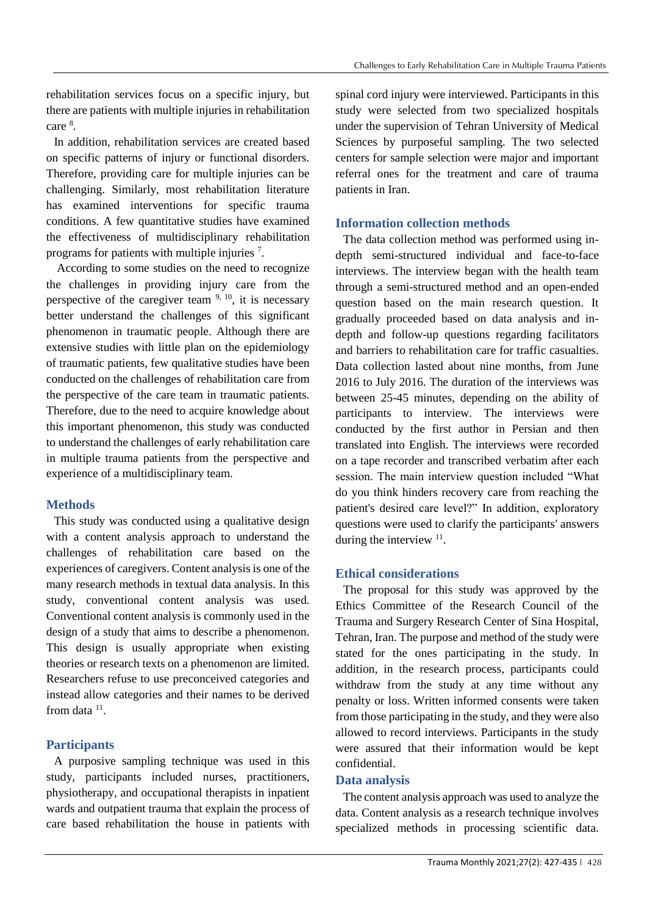rehabilitation services focus on a specific injury, but there are patients with multiple injuries in rehabilitation care  $^8$ .

In addition, rehabilitation services are created based on specific patterns of injury or functional disorders. Therefore, providing care for multiple injuries can be challenging. Similarly, most rehabilitation literature has examined interventions for specific trauma conditions. A few quantitative studies have examined the effectiveness of multidisciplinary rehabilitation programs for patients with multiple injuries 7.

According to some studies on the need to recognize the challenges in providing injury care from the perspective of the caregiver team  $9, 10$ , it is necessary better understand the challenges of this significant phenomenon in traumatic people. Although there are extensive studies with little plan on the epidemiology of traumatic patients, few qualitative studies have been conducted on the challenges of rehabilitation care from the perspective of the care team in traumatic patients. Therefore, due to the need to acquire knowledge about this important phenomenon, this study was conducted to understand the challenges of early rehabilitation care in multiple trauma patients from the perspective and experience of a multidisciplinary team.

# **Methods**

This study was conducted using a qualitative design with a content analysis approach to understand the challenges of rehabilitation care based on the experiences of caregivers. Content analysis is one of the many research methods in textual data analysis. In this study, conventional content analysis was used. Conventional content analysis is commonly used in the design of a study that aims to describe a phenomenon. This design is usually appropriate when existing theories or research texts on a phenomenon are limited. Researchers refuse to use preconceived categories and instead allow categories and their names to be derived from data  $11$ .

# **Participants**

A purposive sampling technique was used in this study, participants included nurses, practitioners, physiotherapy, and occupational therapists in inpatient wards and outpatient trauma that explain the process of care based rehabilitation the house in patients with

spinal cord injury were interviewed. Participants in this study were selected from two specialized hospitals under the supervision of Tehran University of Medical Sciences by purposeful sampling. The two selected centers for sample selection were major and important referral ones for the treatment and care of trauma patients in Iran.

# **Information collection methods**

The data collection method was performed using indepth semi-structured individual and face-to-face interviews. The interview began with the health team through a semi-structured method and an open-ended question based on the main research question. It gradually proceeded based on data analysis and indepth and follow-up questions regarding facilitators and barriers to rehabilitation care for traffic casualties. Data collection lasted about nine months, from June 2016 to July 2016. The duration of the interviews was between 25-45 minutes, depending on the ability of participants to interview. The interviews were conducted by the first author in Persian and then translated into English. The interviews were recorded on a tape recorder and transcribed verbatim after each session. The main interview question included "What do you think hinders recovery care from reaching the patient's desired care level?" In addition, exploratory questions were used to clarify the participants' answers during the interview  $11$ .

# **Ethical considerations**

The proposal for this study was approved by the Ethics Committee of the Research Council of the Trauma and Surgery Research Center of Sina Hospital, Tehran, Iran. The purpose and method of the study were stated for the ones participating in the study. In addition, in the research process, participants could withdraw from the study at any time without any penalty or loss. Written informed consents were taken from those participating in the study, and they were also allowed to record interviews. Participants in the study were assured that their information would be kept confidential.

# **Data analysis**

The content analysis approach was used to analyze the data. Content analysis as a research technique involves specialized methods in processing scientific data.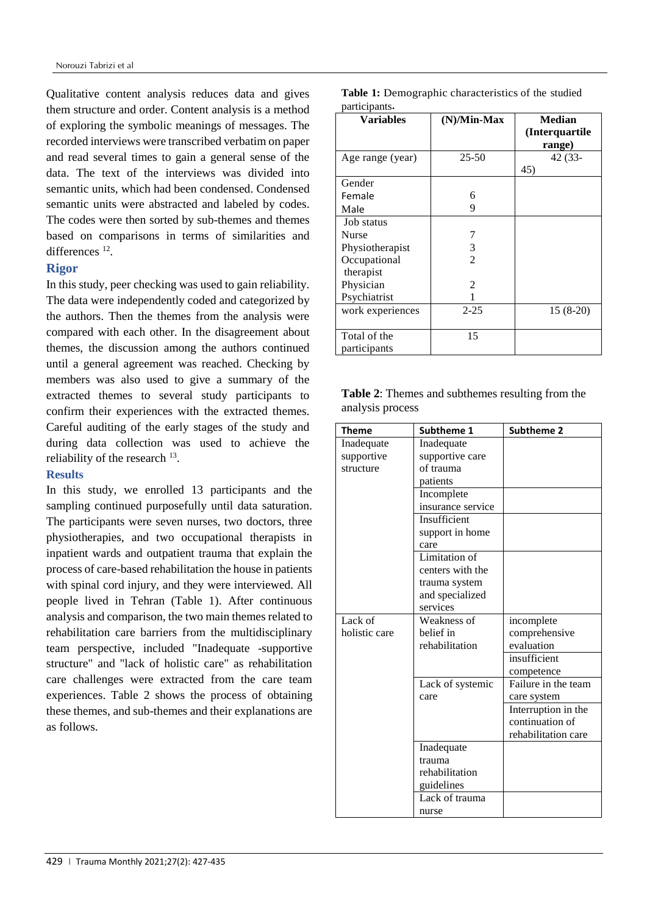Qualitative content analysis reduces data and gives them structure and order. Content analysis is a method of exploring the symbolic meanings of messages. The recorded interviews were transcribed verbatim on paper and read several times to gain a general sense of the data. The text of the interviews was divided into semantic units, which had been condensed. Condensed semantic units were abstracted and labeled by codes. The codes were then sorted by sub-themes and themes based on comparisons in terms of similarities and differences<sup>12</sup>.

# **Rigor**

In this study, peer checking was used to gain reliability. The data were independently coded and categorized by the authors. Then the themes from the analysis were compared with each other. In the disagreement about themes, the discussion among the authors continued until a general agreement was reached. Checking by members was also used to give a summary of the extracted themes to several study participants to confirm their experiences with the extracted themes. Careful auditing of the early stages of the study and during data collection was used to achieve the reliability of the research <sup>13</sup>.

### **Results**

In this study, we enrolled 13 participants and the sampling continued purposefully until data saturation. The participants were seven nurses, two doctors, three physiotherapies, and two occupational therapists in inpatient wards and outpatient trauma that explain the process of care-based rehabilitation the house in patients with spinal cord injury, and they were interviewed. All people lived in Tehran (Table 1). After continuous analysis and comparison, the two main themes related to rehabilitation care barriers from the multidisciplinary team perspective, included "Inadequate -supportive structure" and "lack of holistic care" as rehabilitation care challenges were extracted from the care team experiences. Table 2 shows the process of obtaining these themes, and sub-themes and their explanations are as follows.

| participants.    |                |                                            |  |  |
|------------------|----------------|--------------------------------------------|--|--|
| <b>Variables</b> | (N)/Min-Max    | <b>Median</b><br>(Interquartile)<br>range) |  |  |
| Age range (year) | $25 - 50$      | 42 (33-<br>45)                             |  |  |
| Gender           |                |                                            |  |  |
| Female           | 6              |                                            |  |  |
| Male             | 9              |                                            |  |  |
| Job status       |                |                                            |  |  |
| <b>Nurse</b>     |                |                                            |  |  |
| Physiotherapist  | 3              |                                            |  |  |
| Occupational     | $\overline{2}$ |                                            |  |  |
| therapist        |                |                                            |  |  |
| Physician        | 2              |                                            |  |  |
| Psychiatrist     |                |                                            |  |  |
| work experiences | $2 - 25$       | $15(8-20)$                                 |  |  |
| Total of the     | 15             |                                            |  |  |
| participants     |                |                                            |  |  |

| Table 1: Demographic characteristics of the studied |  |
|-----------------------------------------------------|--|
| participants.                                       |  |

| <b>Table 2:</b> Themes and subthemes resulting from the |  |  |
|---------------------------------------------------------|--|--|
| analysis process                                        |  |  |

| <b>Theme</b>  | Subtheme 1        | <b>Subtheme 2</b>   |
|---------------|-------------------|---------------------|
| Inadequate    | Inadequate        |                     |
| supportive    | supportive care   |                     |
| structure     | of trauma         |                     |
|               | patients          |                     |
|               | Incomplete        |                     |
|               | insurance service |                     |
|               | Insufficient      |                     |
|               | support in home   |                     |
|               | care              |                     |
|               | Limitation of     |                     |
|               | centers with the  |                     |
|               | trauma system     |                     |
|               | and specialized   |                     |
|               | services          |                     |
| Lack of       | Weakness of       | incomplete          |
| holistic care | belief in         | comprehensive       |
|               | rehabilitation    | evaluation          |
|               |                   | insufficient        |
|               |                   | competence          |
|               | Lack of systemic  | Failure in the team |
|               | care              | care system         |
|               |                   | Interruption in the |
|               |                   | continuation of     |
|               |                   | rehabilitation care |
|               | Inadequate        |                     |
|               | trauma            |                     |
|               | rehabilitation    |                     |
|               | guidelines        |                     |
|               | Lack of trauma    |                     |
|               | nurse             |                     |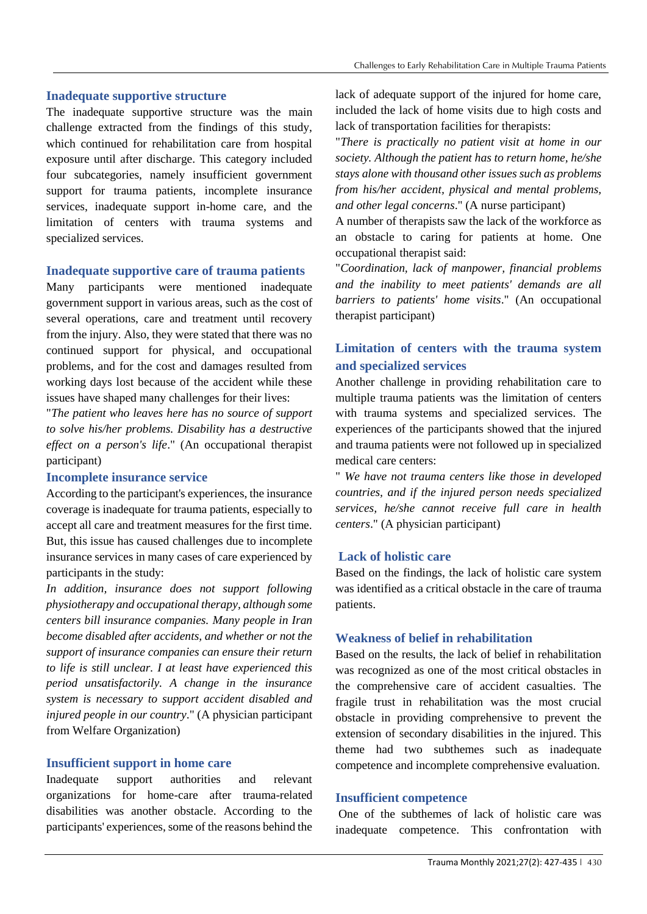# **Inadequate supportive structure**

The inadequate supportive structure was the main challenge extracted from the findings of this study, which continued for rehabilitation care from hospital exposure until after discharge. This category included four subcategories, namely insufficient government support for trauma patients, incomplete insurance services, inadequate support in-home care, and the limitation of centers with trauma systems and specialized services.

# **Inadequate supportive care of trauma patients**

Many participants were mentioned inadequate government support in various areas, such as the cost of several operations, care and treatment until recovery from the injury. Also, they were stated that there was no continued support for physical, and occupational problems, and for the cost and damages resulted from working days lost because of the accident while these issues have shaped many challenges for their lives:

"*The patient who leaves here has no source of support to solve his/her problems. Disability has a destructive effect on a person's life*." (An occupational therapist participant)

# **Incomplete insurance service**

According to the participant's experiences, the insurance coverage is inadequate for trauma patients, especially to accept all care and treatment measures for the first time. But, this issue has caused challenges due to incomplete insurance services in many cases of care experienced by participants in the study:

*In addition, insurance does not support following physiotherapy and occupational therapy, although some centers bill insurance companies. Many people in Iran become disabled after accidents, and whether or not the support of insurance companies can ensure their return to life is still unclear. I at least have experienced this period unsatisfactorily. A change in the insurance system is necessary to support accident disabled and injured people in our country*." (A physician participant from Welfare Organization)

# **Insufficient support in home care**

Inadequate support authorities and relevant organizations for home-care after trauma-related disabilities was another obstacle. According to the participants' experiences, some of the reasons behind the lack of adequate support of the injured for home care, included the lack of home visits due to high costs and lack of transportation facilities for therapists:

"*There is practically no patient visit at home in our society. Although the patient has to return home, he/she stays alone with thousand other issues such as problems from his/her accident, physical and mental problems, and other legal concerns*." (A nurse participant)

A number of therapists saw the lack of the workforce as an obstacle to caring for patients at home. One occupational therapist said:

"*Coordination, lack of manpower, financial problems and the inability to meet patients' demands are all barriers to patients' home visits*." (An occupational therapist participant)

# **Limitation of centers with the trauma system and specialized services**

Another challenge in providing rehabilitation care to multiple trauma patients was the limitation of centers with trauma systems and specialized services. The experiences of the participants showed that the injured and trauma patients were not followed up in specialized medical care centers:

" *We have not trauma centers like those in developed countries, and if the injured person needs specialized services, he/she cannot receive full care in health centers*." (A physician participant)

# **Lack of holistic care**

Based on the findings, the lack of holistic care system was identified as a critical obstacle in the care of trauma patients.

# **Weakness of belief in rehabilitation**

Based on the results, the lack of belief in rehabilitation was recognized as one of the most critical obstacles in the comprehensive care of accident casualties. The fragile trust in rehabilitation was the most crucial obstacle in providing comprehensive to prevent the extension of secondary disabilities in the injured. This theme had two subthemes such as inadequate competence and incomplete comprehensive evaluation.

# **Insufficient competence**

One of the subthemes of lack of holistic care was inadequate competence. This confrontation with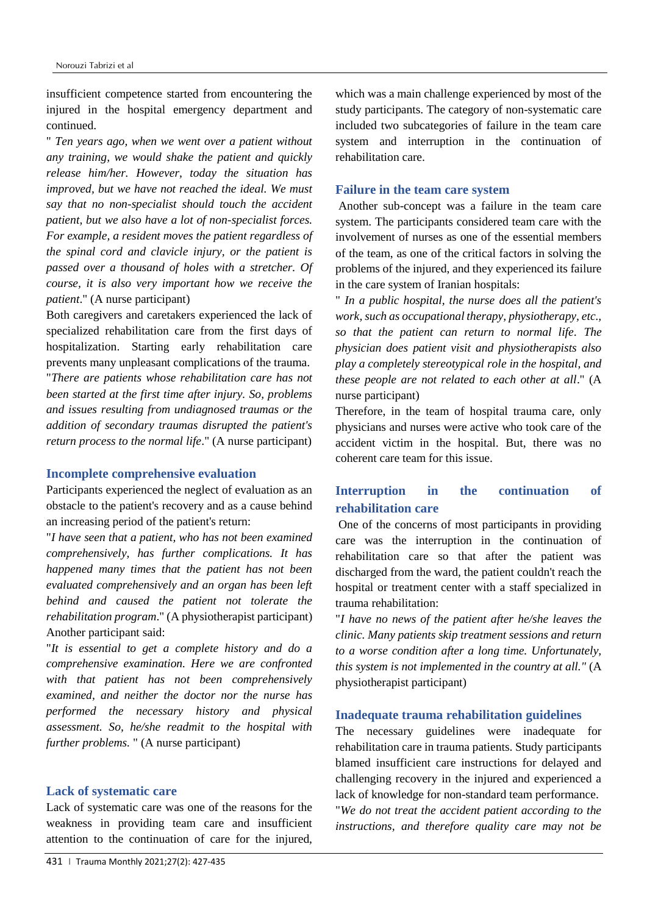insufficient competence started from encountering the injured in the hospital emergency department and continued.

" *Ten years ago, when we went over a patient without any training, we would shake the patient and quickly release him/her. However, today the situation has improved, but we have not reached the ideal. We must say that no non-specialist should touch the accident patient, but we also have a lot of non-specialist forces. For example, a resident moves the patient regardless of the spinal cord and clavicle injury, or the patient is passed over a thousand of holes with a stretcher. Of course, it is also very important how we receive the patient*." (A nurse participant)

Both caregivers and caretakers experienced the lack of specialized rehabilitation care from the first days of hospitalization. Starting early rehabilitation care prevents many unpleasant complications of the trauma. "*There are patients whose rehabilitation care has not been started at the first time after injury. So, problems and issues resulting from undiagnosed traumas or the addition of secondary traumas disrupted the patient's return process to the normal life*." (A nurse participant)

#### **Incomplete comprehensive evaluation**

Participants experienced the neglect of evaluation as an obstacle to the patient's recovery and as a cause behind an increasing period of the patient's return:

"*I have seen that a patient, who has not been examined comprehensively, has further complications. It has happened many times that the patient has not been evaluated comprehensively and an organ has been left behind and caused the patient not tolerate the rehabilitation program*." (A physiotherapist participant) Another participant said:

"*It is essential to get a complete history and do a comprehensive examination. Here we are confronted with that patient has not been comprehensively examined, and neither the doctor nor the nurse has performed the necessary history and physical assessment. So, he/she readmit to the hospital with further problems.* " (A nurse participant)

### **Lack of systematic care**

Lack of systematic care was one of the reasons for the weakness in providing team care and insufficient attention to the continuation of care for the injured, which was a main challenge experienced by most of the study participants. The category of non-systematic care included two subcategories of failure in the team care system and interruption in the continuation of rehabilitation care.

### **Failure in the team care system**

Another sub-concept was a failure in the team care system. The participants considered team care with the involvement of nurses as one of the essential members of the team, as one of the critical factors in solving the problems of the injured, and they experienced its failure in the care system of Iranian hospitals:

" *In a public hospital, the nurse does all the patient's work, such as occupational therapy, physiotherapy, etc., so that the patient can return to normal life. The physician does patient visit and physiotherapists also play a completely stereotypical role in the hospital, and these people are not related to each other at all*." (A nurse participant)

Therefore, in the team of hospital trauma care, only physicians and nurses were active who took care of the accident victim in the hospital. But, there was no coherent care team for this issue.

# **Interruption in the continuation of rehabilitation care**

One of the concerns of most participants in providing care was the interruption in the continuation of rehabilitation care so that after the patient was discharged from the ward, the patient couldn't reach the hospital or treatment center with a staff specialized in trauma rehabilitation:

"*I have no news of the patient after he/she leaves the clinic. Many patients skip treatment sessions and return to a worse condition after a long time. Unfortunately, this system is not implemented in the country at all."* (A physiotherapist participant)

#### **Inadequate trauma rehabilitation guidelines**

The necessary guidelines were inadequate for rehabilitation care in trauma patients. Study participants blamed insufficient care instructions for delayed and challenging recovery in the injured and experienced a lack of knowledge for non-standard team performance. "*We do not treat the accident patient according to the instructions, and therefore quality care may not be*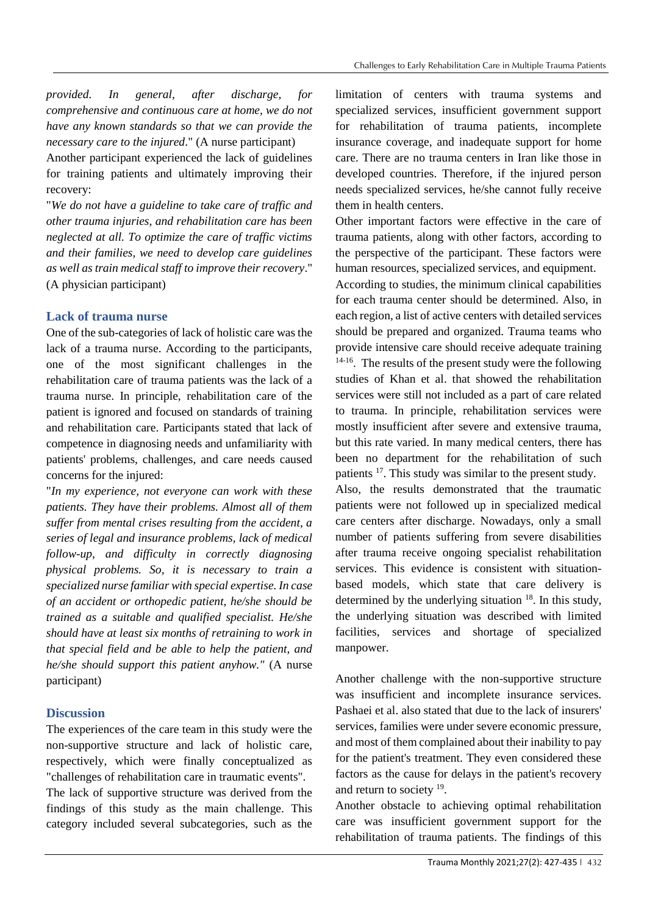*provided. In general, after discharge, for comprehensive and continuous care at home, we do not have any known standards so that we can provide the necessary care to the injured*." (A nurse participant)

Another participant experienced the lack of guidelines for training patients and ultimately improving their recovery:

"*We do not have a guideline to take care of traffic and other trauma injuries, and rehabilitation care has been neglected at all. To optimize the care of traffic victims and their families, we need to develop care guidelines as well as train medical staff to improve their recovery*." (A physician participant)

# **Lack of trauma nurse**

One of the sub-categories of lack of holistic care was the lack of a trauma nurse. According to the participants, one of the most significant challenges in the rehabilitation care of trauma patients was the lack of a trauma nurse. In principle, rehabilitation care of the patient is ignored and focused on standards of training and rehabilitation care. Participants stated that lack of competence in diagnosing needs and unfamiliarity with patients' problems, challenges, and care needs caused concerns for the injured:

"*In my experience, not everyone can work with these patients. They have their problems. Almost all of them suffer from mental crises resulting from the accident, a series of legal and insurance problems, lack of medical follow-up, and difficulty in correctly diagnosing physical problems. So, it is necessary to train a specialized nurse familiar with special expertise. In case of an accident or orthopedic patient, he/she should be trained as a suitable and qualified specialist. He/she should have at least six months of retraining to work in that special field and be able to help the patient, and he/she should support this patient anyhow."* (A nurse participant)

# **Discussion**

The experiences of the care team in this study were the non-supportive structure and lack of holistic care, respectively, which were finally conceptualized as "challenges of rehabilitation care in traumatic events". The lack of supportive structure was derived from the findings of this study as the main challenge. This category included several subcategories, such as the

limitation of centers with trauma systems and specialized services, insufficient government support for rehabilitation of trauma patients, incomplete insurance coverage, and inadequate support for home care. There are no trauma centers in Iran like those in developed countries. Therefore, if the injured person needs specialized services, he/she cannot fully receive them in health centers.

Other important factors were effective in the care of trauma patients, along with other factors, according to the perspective of the participant. These factors were human resources, specialized services, and equipment.

According to studies, the minimum clinical capabilities for each trauma center should be determined. Also, in each region, a list of active centers with detailed services should be prepared and organized. Trauma teams who provide intensive care should receive adequate training <sup>14-16</sup>. The results of the present study were the following studies of Khan et al. that showed the rehabilitation services were still not included as a part of care related to trauma. In principle, rehabilitation services were mostly insufficient after severe and extensive trauma, but this rate varied. In many medical centers, there has been no department for the rehabilitation of such patients <sup>17</sup>. This study was similar to the present study. Also, the results demonstrated that the traumatic patients were not followed up in specialized medical care centers after discharge. Nowadays, only a small number of patients suffering from severe disabilities after trauma receive ongoing specialist rehabilitation services. This evidence is consistent with situationbased models, which state that care delivery is determined by the underlying situation  $18$ . In this study, the underlying situation was described with limited facilities, services and shortage of specialized

Another challenge with the non-supportive structure was insufficient and incomplete insurance services. Pashaei et al. also stated that due to the lack of insurers' services, families were under severe economic pressure, and most of them complained about their inability to pay for the patient's treatment. They even considered these factors as the cause for delays in the patient's recovery and return to society <sup>19</sup> .

manpower.

Another obstacle to achieving optimal rehabilitation care was insufficient government support for the rehabilitation of trauma patients. The findings of this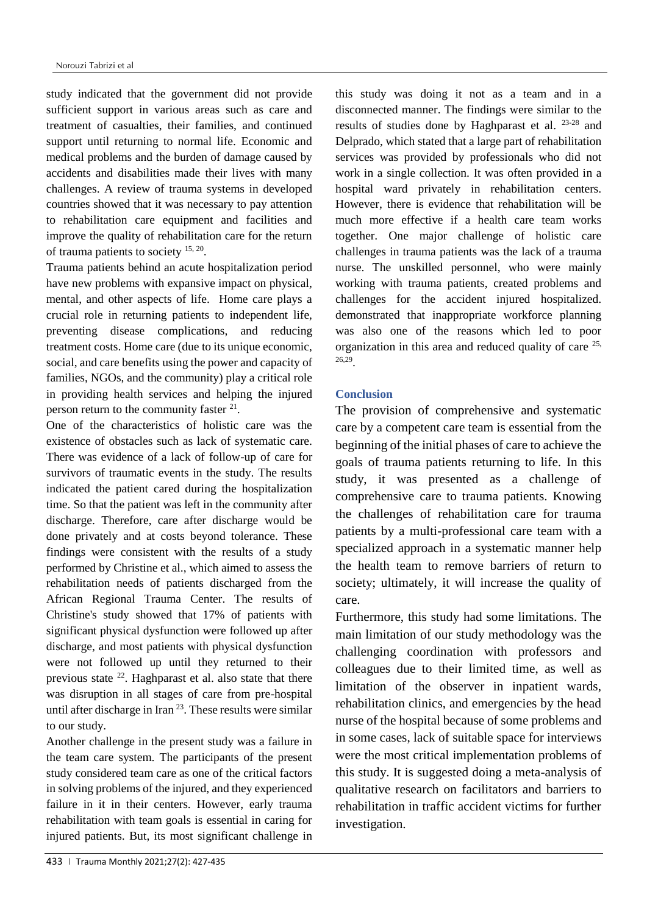study indicated that the government did not provide sufficient support in various areas such as care and treatment of casualties, their families, and continued support until returning to normal life. Economic and medical problems and the burden of damage caused by accidents and disabilities made their lives with many challenges. A review of trauma systems in developed countries showed that it was necessary to pay attention to rehabilitation care equipment and facilities and improve the quality of rehabilitation care for the return of trauma patients to society <sup>15, 20</sup>.

Trauma patients behind an acute hospitalization period have new problems with expansive impact on physical, mental, and other aspects of life. Home care plays a crucial role in returning patients to independent life, preventing disease complications, and reducing treatment costs. Home care (due to its unique economic, social, and care benefits using the power and capacity of families, NGOs, and the community) play a critical role in providing health services and helping the injured person return to the community faster  $2^1$ .

One of the characteristics of holistic care was the existence of obstacles such as lack of systematic care. There was evidence of a lack of follow-up of care for survivors of traumatic events in the study. The results indicated the patient cared during the hospitalization time. So that the patient was left in the community after discharge. Therefore, care after discharge would be done privately and at costs beyond tolerance. These findings were consistent with the results of a study performed by Christine et al., which aimed to assess the rehabilitation needs of patients discharged from the African Regional Trauma Center. The results of Christine's study showed that 17% of patients with significant physical dysfunction were followed up after discharge, and most patients with physical dysfunction were not followed up until they returned to their previous state <sup>22</sup>. Haghparast et al. also state that there was disruption in all stages of care from pre-hospital until after discharge in Iran  $2<sup>3</sup>$ . These results were similar to our study.

Another challenge in the present study was a failure in the team care system. The participants of the present study considered team care as one of the critical factors in solving problems of the injured, and they experienced failure in it in their centers. However, early trauma rehabilitation with team goals is essential in caring for injured patients. But, its most significant challenge in this study was doing it not as a team and in a disconnected manner. The findings were similar to the results of studies done by Haghparast et al. 23-28 and Delprado, which stated that a large part of rehabilitation services was provided by professionals who did not work in a single collection. It was often provided in a hospital ward privately in rehabilitation centers. However, there is evidence that rehabilitation will be much more effective if a health care team works together. One major challenge of holistic care challenges in trauma patients was the lack of a trauma nurse. The unskilled personnel, who were mainly working with trauma patients, created problems and challenges for the accident injured hospitalized. demonstrated that inappropriate workforce planning was also one of the reasons which led to poor organization in this area and reduced quality of care 25, 26,29 .

# **Conclusion**

The provision of comprehensive and systematic care by a competent care team is essential from the beginning of the initial phases of care to achieve the goals of trauma patients returning to life. In this study, it was presented as a challenge of comprehensive care to trauma patients. Knowing the challenges of rehabilitation care for trauma patients by a multi-professional care team with a specialized approach in a systematic manner help the health team to remove barriers of return to society; ultimately, it will increase the quality of care.

Furthermore, this study had some limitations. The main limitation of our study methodology was the challenging coordination with professors and colleagues due to their limited time, as well as limitation of the observer in inpatient wards, rehabilitation clinics, and emergencies by the head nurse of the hospital because of some problems and in some cases, lack of suitable space for interviews were the most critical implementation problems of this study. It is suggested doing a meta-analysis of qualitative research on facilitators and barriers to rehabilitation in traffic accident victims for further investigation.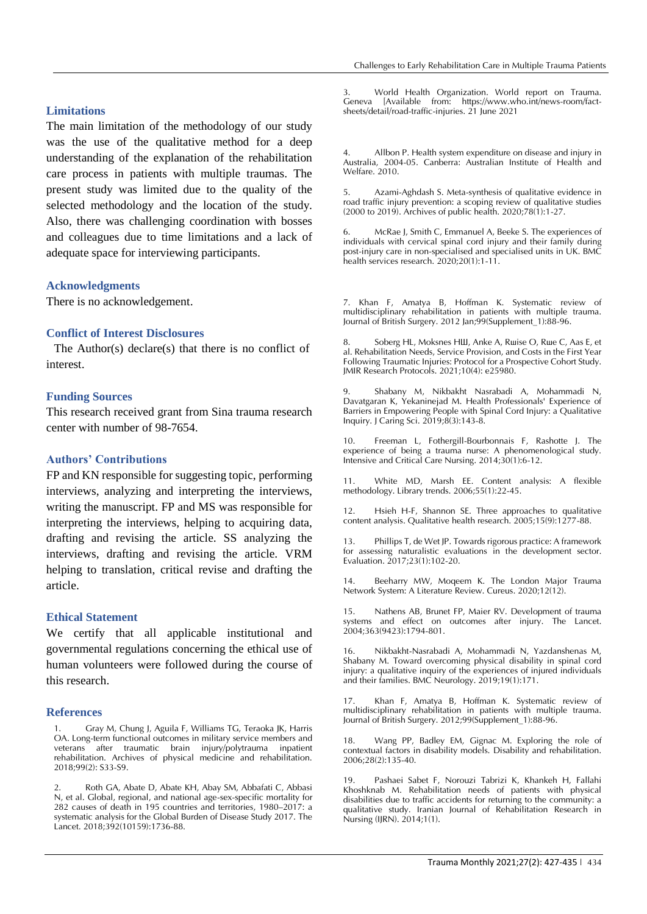#### **Limitations**

The main limitation of the methodology of our study was the use of the qualitative method for a deep understanding of the explanation of the rehabilitation care process in patients with multiple traumas. The present study was limited due to the quality of the selected methodology and the location of the study. Also, there was challenging coordination with bosses and colleagues due to time limitations and a lack of adequate space for interviewing participants.

#### **Acknowledgments**

There is no acknowledgement.

#### **Conflict of Interest Disclosures**

The Author(s) declare(s) that there is no conflict of interest.

#### **Funding Sources**

This research received grant from Sina trauma research center with number of 98-7654.

### **Authors' Contributions**

FP and KN responsible for suggesting topic, performing interviews, analyzing and interpreting the interviews, writing the manuscript. FP and MS was responsible for interpreting the interviews, helping to acquiring data, drafting and revising the article. SS analyzing the interviews, drafting and revising the article. VRM helping to translation, critical revise and drafting the article.

#### **Ethical Statement**

We certify that all applicable institutional and governmental regulations concerning the ethical use of human volunteers were followed during the course of this research.

#### **References**

1. Gray M, Chung J, Aguila F, Williams TG, Teraoka JK, Harris OA. Long-term functional outcomes in military service members and veterans after traumatic brain injury/polytrauma inpatient rehabilitation. Archives of physical medicine and rehabilitation. 2018;99(2): S33-S9.

2. Roth GA, Abate D, Abate KH, Abay SM, Abbafati C, Abbasi N, et al. Global, regional, and national age-sex-specific mortality for 282 causes of death in 195 countries and territories, 1980–2017: a systematic analysis for the Global Burden of Disease Study 2017. The Lancet. 2018;392(10159):1736-88.

3. World Health Organization. World report on Trauma. Geneva [Available from: https://www.who.int/news-room/factsheets/detail/road-traffic-injuries. 21 June 2021

4. Allbon P. Health system expenditure on disease and injury in Australia, 2004-05. Canberra: Australian Institute of Health and Welfare. 2010.

5. Azami-Aghdash S. Meta-synthesis of qualitative evidence in road traffic injury prevention: a scoping review of qualitative studies (2000 to 2019). Archives of public health. 2020;78(1):1-27.

6. McRae J, Smith C, Emmanuel A, Beeke S. The experiences of individuals with cervical spinal cord injury and their family during post-injury care in non-specialised and specialised units in UK. BMC health services research. 2020;20(1):1-11.

7. Khan F, Amatya B, Hoffman K. Systematic review of multidisciplinary rehabilitation in patients with multiple trauma. Journal of British Surgery. 2012 Jan;99(Supplement\_1):88-96.

Soberg HL, Moksnes HШ, Anke A, Ruise O, Ruie C, Aas E, et al. Rehabilitation Needs, Service Provision, and Costs in the First Year Following Traumatic Injuries: Protocol for a Prospective Cohort Study. JMIR Research Protocols. 2021;10(4): e25980.

9. Shabany M, Nikbakht Nasrabadi A, Mohammadi N, Davatgaran K, Yekaninejad M. Health Professionals' Experience of Barriers in Empowering People with Spinal Cord Injury: a Qualitative Inquiry. J Caring Sci. 2019;8(3):143-8.

10. Freeman L, Fothergill-Bourbonnais F, Rashotte J. The experience of being a trauma nurse: A phenomenological study. Intensive and Critical Care Nursing. 2014;30(1):6-12.

11. White MD, Marsh EE. Content analysis: A flexible methodology. Library trends. 2006;55(1):22-45.

12. Hsieh H-F, Shannon SE. Three approaches to qualitative content analysis. Qualitative health research. 2005;15(9):1277-88.

13. Phillips T, de Wet JP. Towards rigorous practice: A framework for assessing naturalistic evaluations in the development sector. Evaluation. 2017;23(1):102-20.

14. Beeharry MW, Moqeem K. The London Major Trauma Network System: A Literature Review. Cureus. 2020;12(12).

15. Nathens AB, Brunet FP, Maier RV. Development of trauma systems and effect on outcomes after injury. The Lancet. 2004;363(9423):1794-801.

16. Nikbakht-Nasrabadi A, Mohammadi N, Yazdanshenas M, Shabany M. Toward overcoming physical disability in spinal cord injury: a qualitative inquiry of the experiences of injured individuals and their families. BMC Neurology. 2019;19(1):171.

17. Khan F, Amatya B, Hoffman K. Systematic review of multidisciplinary rehabilitation in patients with multiple trauma. Journal of British Surgery. 2012;99(Supplement\_1):88-96.

18. Wang PP, Badley EM, Gignac M. Exploring the role of contextual factors in disability models. Disability and rehabilitation. 2006;28(2):135-40.

19. Pashaei Sabet F, Norouzi Tabrizi K, Khankeh H, Fallahi Khoshknab M. Rehabilitation needs of patients with physical disabilities due to traffic accidents for returning to the community: a qualitative study. Iranian Journal of Rehabilitation Research in Nursing (IJRN). 2014;1(1).